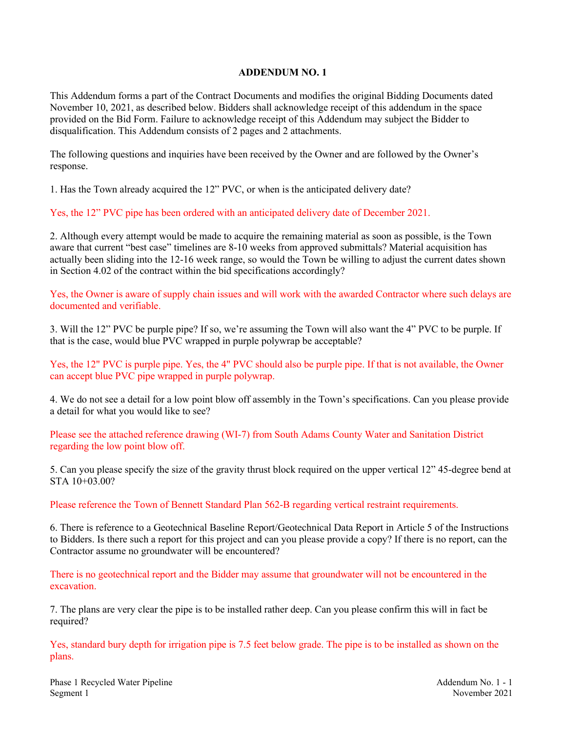## **ADDENDUM NO. 1**

This Addendum forms a part of the Contract Documents and modifies the original Bidding Documents dated November 10, 2021, as described below. Bidders shall acknowledge receipt of this addendum in the space provided on the Bid Form. Failure to acknowledge receipt of this Addendum may subject the Bidder to disqualification. This Addendum consists of 2 pages and 2 attachments.

The following questions and inquiries have been received by the Owner and are followed by the Owner's response.

1. Has the Town already acquired the 12" PVC, or when is the anticipated delivery date?

Yes, the 12" PVC pipe has been ordered with an anticipated delivery date of December 2021.

2. Although every attempt would be made to acquire the remaining material as soon as possible, is the Town aware that current "best case" timelines are 8-10 weeks from approved submittals? Material acquisition has actually been sliding into the 12-16 week range, so would the Town be willing to adjust the current dates shown in Section 4.02 of the contract within the bid specifications accordingly?

Yes, the Owner is aware of supply chain issues and will work with the awarded Contractor where such delays are documented and verifiable.

3. Will the 12" PVC be purple pipe? If so, we're assuming the Town will also want the 4" PVC to be purple. If that is the case, would blue PVC wrapped in purple polywrap be acceptable?

Yes, the 12" PVC is purple pipe. Yes, the 4" PVC should also be purple pipe. If that is not available, the Owner can accept blue PVC pipe wrapped in purple polywrap.

4. We do not see a detail for a low point blow off assembly in the Town's specifications. Can you please provide a detail for what you would like to see?

Please see the attached reference drawing (WI-7) from South Adams County Water and Sanitation District regarding the low point blow off.

5. Can you please specify the size of the gravity thrust block required on the upper vertical 12" 45-degree bend at STA 10+03.00?

Please reference the Town of Bennett Standard Plan 562-B regarding vertical restraint requirements.

6. There is reference to a Geotechnical Baseline Report/Geotechnical Data Report in Article 5 of the Instructions to Bidders. Is there such a report for this project and can you please provide a copy? If there is no report, can the Contractor assume no groundwater will be encountered?

There is no geotechnical report and the Bidder may assume that groundwater will not be encountered in the excavation.

7. The plans are very clear the pipe is to be installed rather deep. Can you please confirm this will in fact be required?

Yes, standard bury depth for irrigation pipe is 7.5 feet below grade. The pipe is to be installed as shown on the plans.